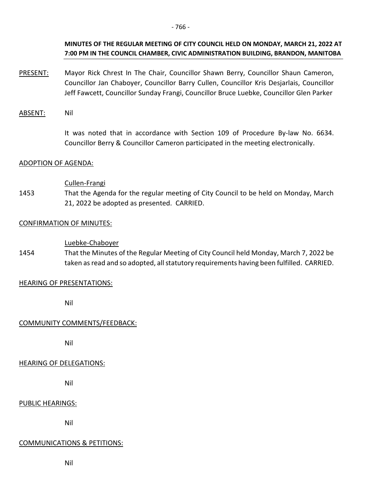# **MINUTES OF THE REGULAR MEETING OF CITY COUNCIL HELD ON MONDAY, MARCH 21, 2022 AT 7:00 PM IN THE COUNCIL CHAMBER, CIVIC ADMINISTRATION BUILDING, BRANDON, MANITOBA**

- PRESENT: Mayor Rick Chrest In The Chair, Councillor Shawn Berry, Councillor Shaun Cameron, Councillor Jan Chaboyer, Councillor Barry Cullen, Councillor Kris Desjarlais, Councillor Jeff Fawcett, Councillor Sunday Frangi, Councillor Bruce Luebke, Councillor Glen Parker
- ABSENT: Nil

It was noted that in accordance with Section 109 of Procedure By-law No. 6634. Councillor Berry & Councillor Cameron participated in the meeting electronically.

# ADOPTION OF AGENDA:

#### Cullen-Frangi

1453 That the Agenda for the regular meeting of City Council to be held on Monday, March 21, 2022 be adopted as presented. CARRIED.

#### CONFIRMATION OF MINUTES:

#### Luebke-Chaboyer

1454 That the Minutes of the Regular Meeting of City Council held Monday, March 7, 2022 be taken as read and so adopted, all statutory requirements having been fulfilled. CARRIED.

# HEARING OF PRESENTATIONS:

Nil

# COMMUNITY COMMENTS/FEEDBACK:

Nil

# HEARING OF DELEGATIONS:

Nil

# PUBLIC HEARINGS:

Nil

#### COMMUNICATIONS & PETITIONS:

Nil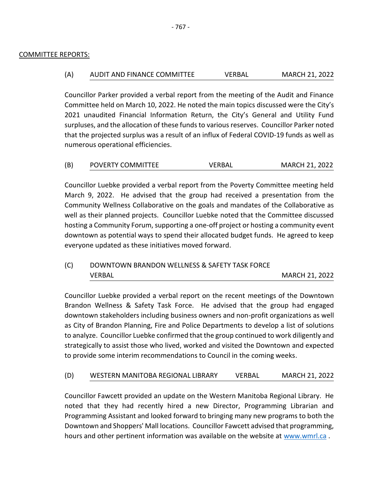#### COMMITTEE REPORTS:

# (A) AUDIT AND FINANCE COMMITTEE VERBAL MARCH 21, 2022

Councillor Parker provided a verbal report from the meeting of the Audit and Finance Committee held on March 10, 2022. He noted the main topics discussed were the City's 2021 unaudited Financial Information Return, the City's General and Utility Fund surpluses, and the allocation of these funds to various reserves. Councillor Parker noted that the projected surplus was a result of an influx of Federal COVID-19 funds as well as numerous operational efficiencies.

| (B) | <b>POVERTY COMMITTEE</b> | VERBAL | <b>MARCH 21, 2022</b> |
|-----|--------------------------|--------|-----------------------|
|-----|--------------------------|--------|-----------------------|

Councillor Luebke provided a verbal report from the Poverty Committee meeting held March 9, 2022. He advised that the group had received a presentation from the Community Wellness Collaborative on the goals and mandates of the Collaborative as well as their planned projects. Councillor Luebke noted that the Committee discussed hosting a Community Forum, supporting a one-off project or hosting a community event downtown as potential ways to spend their allocated budget funds. He agreed to keep everyone updated as these initiatives moved forward.

| (C) | DOWNTOWN BRANDON WELLNESS & SAFETY TASK FORCE |                       |
|-----|-----------------------------------------------|-----------------------|
|     | VERBAL                                        | <b>MARCH 21, 2022</b> |

Councillor Luebke provided a verbal report on the recent meetings of the Downtown Brandon Wellness & Safety Task Force. He advised that the group had engaged downtown stakeholders including business owners and non-profit organizations as well as City of Brandon Planning, Fire and Police Departments to develop a list of solutions to analyze. Councillor Luebke confirmed that the group continued to work diligently and strategically to assist those who lived, worked and visited the Downtown and expected to provide some interim recommendations to Council in the coming weeks.

#### (D) WESTERN MANITOBA REGIONAL LIBRARY VERBAL MARCH 21, 2022

Councillor Fawcett provided an update on the Western Manitoba Regional Library. He noted that they had recently hired a new Director, Programming Librarian and Programming Assistant and looked forward to bringing many new programs to both the Downtown and Shoppers' Mall locations. Councillor Fawcett advised that programming, hours and other pertinent information was available on the website at [www.wmrl.ca](http://www.wmrl.ca/) .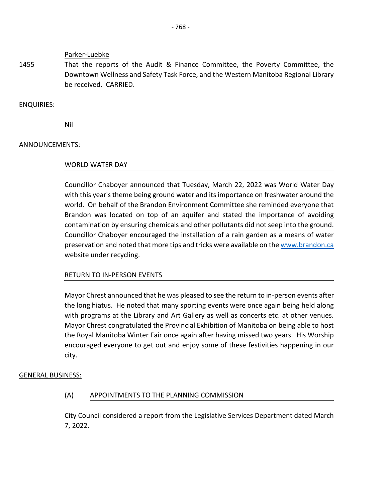Parker-Luebke

1455 That the reports of the Audit & Finance Committee, the Poverty Committee, the Downtown Wellness and Safety Task Force, and the Western Manitoba Regional Library be received. CARRIED.

ENQUIRIES:

Nil

#### ANNOUNCEMENTS:

#### WORLD WATER DAY

Councillor Chaboyer announced that Tuesday, March 22, 2022 was World Water Day with this year's theme being ground water and its importance on freshwater around the world. On behalf of the Brandon Environment Committee she reminded everyone that Brandon was located on top of an aquifer and stated the importance of avoiding contamination by ensuring chemicals and other pollutants did not seep into the ground. Councillor Chaboyer encouraged the installation of a rain garden as a means of water preservation and noted that more tips and tricks were available on the [www.brandon.ca](http://www.brandon.ca/) website under recycling.

# RETURN TO IN-PERSON EVENTS

Mayor Chrest announced that he was pleased to see the return to in-person events after the long hiatus. He noted that many sporting events were once again being held along with programs at the Library and Art Gallery as well as concerts etc. at other venues. Mayor Chrest congratulated the Provincial Exhibition of Manitoba on being able to host the Royal Manitoba Winter Fair once again after having missed two years. His Worship encouraged everyone to get out and enjoy some of these festivities happening in our city.

#### GENERAL BUSINESS:

(A) APPOINTMENTS TO THE PLANNING COMMISSION

City Council considered a report from the Legislative Services Department dated March 7, 2022.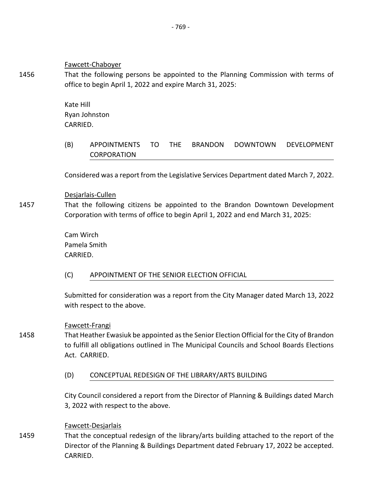Fawcett-Chaboyer

1456 That the following persons be appointed to the Planning Commission with terms of office to begin April 1, 2022 and expire March 31, 2025:

> Kate Hill Ryan Johnston CARRIED.

(B) APPOINTMENTS TO THE BRANDON DOWNTOWN DEVELOPMENT CORPORATION

Considered was a report from the Legislative Services Department dated March 7, 2022.

Desjarlais-Cullen

1457 That the following citizens be appointed to the Brandon Downtown Development Corporation with terms of office to begin April 1, 2022 and end March 31, 2025:

> Cam Wirch Pamela Smith CARRIED.

(C) APPOINTMENT OF THE SENIOR ELECTION OFFICIAL

Submitted for consideration was a report from the City Manager dated March 13, 2022 with respect to the above.

Fawcett-Frangi

- 1458 That Heather Ewasiuk be appointed as the Senior Election Official for the City of Brandon to fulfill all obligations outlined in The Municipal Councils and School Boards Elections Act. CARRIED.
	- (D) CONCEPTUAL REDESIGN OF THE LIBRARY/ARTS BUILDING

City Council considered a report from the Director of Planning & Buildings dated March 3, 2022 with respect to the above.

# Fawcett-Desjarlais

1459 That the conceptual redesign of the library/arts building attached to the report of the Director of the Planning & Buildings Department dated February 17, 2022 be accepted. CARRIED.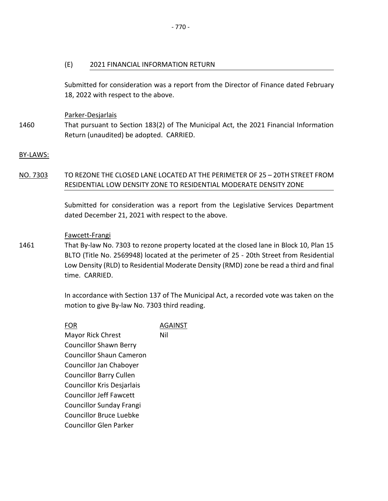Submitted for consideration was a report from the Director of Finance dated February 18, 2022 with respect to the above.

Parker-Desjarlais

1460 That pursuant to Section 183(2) of The Municipal Act, the 2021 Financial Information Return (unaudited) be adopted. CARRIED.

# BY-LAWS:

# NO. 7303 TO REZONE THE CLOSED LANE LOCATED AT THE PERIMETER OF 25 – 20TH STREET FROM RESIDENTIAL LOW DENSITY ZONE TO RESIDENTIAL MODERATE DENSITY ZONE

Submitted for consideration was a report from the Legislative Services Department dated December 21, 2021 with respect to the above.

# Fawcett-Frangi

1461 That By-law No. 7303 to rezone property located at the closed lane in Block 10, Plan 15 BLTO (Title No. 2569948) located at the perimeter of 25 - 20th Street from Residential Low Density (RLD) to Residential Moderate Density (RMD) zone be read a third and final time. CARRIED.

> In accordance with Section 137 of The Municipal Act, a recorded vote was taken on the motion to give By-law No. 7303 third reading.

FOR AGAINST Mayor Rick Chrest Councillor Shawn Berry Councillor Shaun Cameron Councillor Jan Chaboyer Councillor Barry Cullen Councillor Kris Desjarlais Councillor Jeff Fawcett Councillor Sunday Frangi Councillor Bruce Luebke Councillor Glen Parker Nil